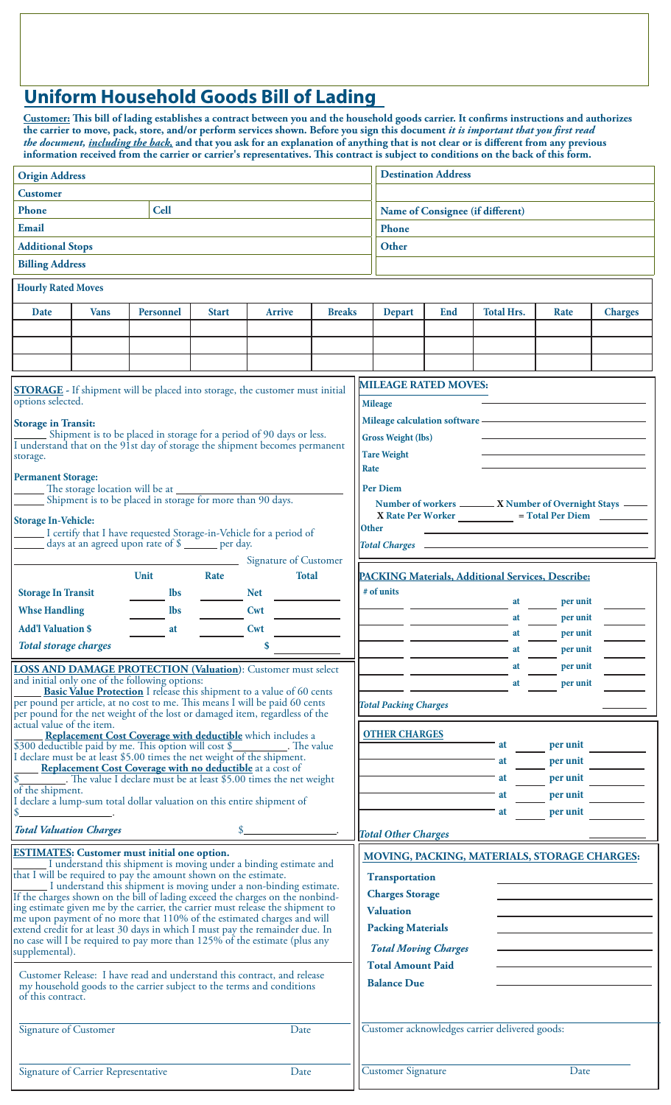## **Uniform Household Goods Bill of Lading**

**Customer: This bill of lading establishes a contract between you and the household goods carrier. It confirms instructions and authorizes the carrier to move, pack, store, and/or perform services shown. Before you sign this document** *it is important that you first read the document, including the back,* **and that you ask for an explanation of anything that is not clear or is different from any previous information received from the carrier or carrier's representatives. This contract is subject to conditions on the back of this form.**

| <b>Origin Address</b>                                                                                                                                      |                                                 |            |               |               |  |                                                | <b>Destination Address</b>                                                                                                                                                                                                           |                   |                                                   |                |  |  |
|------------------------------------------------------------------------------------------------------------------------------------------------------------|-------------------------------------------------|------------|---------------|---------------|--|------------------------------------------------|--------------------------------------------------------------------------------------------------------------------------------------------------------------------------------------------------------------------------------------|-------------------|---------------------------------------------------|----------------|--|--|
| <b>Customer</b>                                                                                                                                            |                                                 |            |               |               |  |                                                |                                                                                                                                                                                                                                      |                   |                                                   |                |  |  |
| <b>Cell</b><br>Phone                                                                                                                                       |                                                 |            |               |               |  |                                                | Name of Consignee (if different)                                                                                                                                                                                                     |                   |                                                   |                |  |  |
| Email                                                                                                                                                      |                                                 |            |               |               |  |                                                | Phone                                                                                                                                                                                                                                |                   |                                                   |                |  |  |
| <b>Additional Stops</b>                                                                                                                                    |                                                 |            |               |               |  |                                                | Other                                                                                                                                                                                                                                |                   |                                                   |                |  |  |
| <b>Billing Address</b>                                                                                                                                     |                                                 |            |               |               |  |                                                |                                                                                                                                                                                                                                      |                   |                                                   |                |  |  |
| <b>Hourly Rated Moves</b>                                                                                                                                  |                                                 |            |               |               |  |                                                |                                                                                                                                                                                                                                      |                   |                                                   |                |  |  |
| Date                                                                                                                                                       | <b>Vans</b><br><b>Personnel</b><br><b>Start</b> |            | <b>Arrive</b> | <b>Breaks</b> |  | <b>Depart</b>                                  | End                                                                                                                                                                                                                                  | <b>Total Hrs.</b> | Rate                                              | <b>Charges</b> |  |  |
|                                                                                                                                                            |                                                 |            |               |               |  |                                                |                                                                                                                                                                                                                                      |                   |                                                   |                |  |  |
|                                                                                                                                                            |                                                 |            |               |               |  |                                                |                                                                                                                                                                                                                                      |                   |                                                   |                |  |  |
|                                                                                                                                                            |                                                 |            |               |               |  |                                                |                                                                                                                                                                                                                                      |                   |                                                   |                |  |  |
| <b>STORAGE</b> - If shipment will be placed into storage, the customer must initial                                                                        |                                                 |            |               |               |  |                                                | <b>MILEAGE RATED MOVES:</b>                                                                                                                                                                                                          |                   |                                                   |                |  |  |
| options selected.                                                                                                                                          |                                                 |            |               |               |  |                                                | <b>Mileage</b>                                                                                                                                                                                                                       |                   |                                                   |                |  |  |
| <b>Storage in Transit:</b><br>Shipment is to be placed in storage for a period of 90 days or less.                                                         |                                                 |            |               |               |  |                                                |                                                                                                                                                                                                                                      |                   |                                                   |                |  |  |
| I understand that on the 91st day of storage the shipment becomes permanent                                                                                |                                                 |            |               |               |  |                                                | <b>Gross Weight (lbs)</b><br><b>Tare Weight</b>                                                                                                                                                                                      |                   |                                                   |                |  |  |
| storage.                                                                                                                                                   |                                                 |            |               |               |  |                                                | Rate                                                                                                                                                                                                                                 |                   |                                                   |                |  |  |
| <b>Permanent Storage:</b><br>The storage location will be at _______                                                                                       |                                                 |            |               |               |  |                                                | <b>Per Diem</b>                                                                                                                                                                                                                      |                   |                                                   |                |  |  |
| Shipment is to be placed in storage for more than 90 days.                                                                                                 |                                                 |            |               |               |  |                                                | Number of workers ______ X Number of Overnight Stays ____                                                                                                                                                                            |                   |                                                   |                |  |  |
| <b>Storage In-Vehicle:</b>                                                                                                                                 |                                                 |            |               |               |  |                                                | X Rate Per Worker ______________ = Total Per Diem __________<br><b>Other</b>                                                                                                                                                         |                   |                                                   |                |  |  |
| I certify that I have requested Storage-in-Vehicle for a period of<br>days at an agreed upon rate of \$ ______ per day.                                    |                                                 |            |               |               |  |                                                | Total Charges <b>Lawrence Charles Charles Charles Charles Charles Charles Charles Charles Charles Charles Charles Charles Charles Charles Charles Charles Charles Charles Charles Charles Charles Charles Charles Charles Charle</b> |                   |                                                   |                |  |  |
| Signature of Customer                                                                                                                                      |                                                 |            |               |               |  |                                                |                                                                                                                                                                                                                                      |                   |                                                   |                |  |  |
| <b>Unit</b><br>Rate<br><b>Total</b>                                                                                                                        |                                                 |            |               |               |  |                                                |                                                                                                                                                                                                                                      |                   | PACKING Materials, Additional Services, Describe: |                |  |  |
| <b>Storage In Transit</b>                                                                                                                                  |                                                 | <b>Ibs</b> |               | <b>Net</b>    |  |                                                | # of units                                                                                                                                                                                                                           |                   | at                                                | per unit       |  |  |
| <b>Whse Handling</b>                                                                                                                                       |                                                 | <b>lbs</b> |               | Cwt           |  |                                                |                                                                                                                                                                                                                                      |                   | at                                                | per unit       |  |  |
| <b>Add'l Valuation \$</b>                                                                                                                                  |                                                 | at         |               | Cwt           |  |                                                |                                                                                                                                                                                                                                      |                   | at                                                | per unit       |  |  |
| \$<br><b>Total storage charges</b>                                                                                                                         |                                                 |            |               |               |  |                                                |                                                                                                                                                                                                                                      |                   | at                                                | per unit       |  |  |
| <b>LOSS AND DAMAGE PROTECTION (Valuation):</b> Customer must select                                                                                        |                                                 |            |               |               |  |                                                |                                                                                                                                                                                                                                      |                   | at                                                | per unit       |  |  |
| and initial only one of the following options:<br><b>Basic Value Protection</b> I release this shipment to a value of 60 cents                             |                                                 |            |               |               |  |                                                |                                                                                                                                                                                                                                      |                   | at                                                | per unit       |  |  |
| per pound per article, at no cost to me. This means I will be paid 60 cents<br>per pound for the net weight of the lost or damaged item, regardless of the |                                                 |            |               |               |  |                                                | <b>Total Packing Charges</b>                                                                                                                                                                                                         |                   |                                                   |                |  |  |
| actual value of the item.                                                                                                                                  |                                                 |            |               |               |  |                                                |                                                                                                                                                                                                                                      |                   |                                                   |                |  |  |
| <b>Replacement Cost Coverage with deductible</b> which includes a<br>\$300 deductible paid by me. This option will cost \$_<br>The value                   |                                                 |            |               |               |  |                                                | <b>OTHER CHARGES</b>                                                                                                                                                                                                                 |                   | at                                                | per unit       |  |  |
| I declare must be at least \$5.00 times the net weight of the shipment.<br>Replacement Cost Coverage with no deductible at a cost of                       |                                                 |            |               |               |  |                                                |                                                                                                                                                                                                                                      |                   | at                                                | per unit       |  |  |
| The value I declare must be at least \$5.00 times the net weight                                                                                           |                                                 |            |               |               |  |                                                |                                                                                                                                                                                                                                      |                   | at                                                | per unit       |  |  |
| of the shipment.<br>I declare a lump-sum total dollar valuation on this entire shipment of                                                                 |                                                 |            |               |               |  |                                                |                                                                                                                                                                                                                                      |                   | at                                                | per unit       |  |  |
|                                                                                                                                                            |                                                 |            |               |               |  |                                                |                                                                                                                                                                                                                                      |                   | at                                                | per unit       |  |  |
| <b>Total Valuation Charges</b>                                                                                                                             |                                                 |            |               |               |  |                                                | <b>Total Other Charges</b>                                                                                                                                                                                                           |                   |                                                   |                |  |  |
| <b>ESTIMATES:</b> Customer must initial one option.<br>I understand this shipment is moving under a binding estimate and                                   |                                                 |            |               |               |  |                                                |                                                                                                                                                                                                                                      |                   | MOVING, PACKING, MATERIALS, STORAGE CHARGES:      |                |  |  |
| that I will be required to pay the amount shown on the estimate.                                                                                           |                                                 |            |               |               |  |                                                | <b>Transportation</b>                                                                                                                                                                                                                |                   |                                                   |                |  |  |
| I understand this shipment is moving under a non-binding estimate.<br>If the charges shown on the bill of lading exceed the charges on the nonbind-        |                                                 |            |               |               |  |                                                | <b>Charges Storage</b>                                                                                                                                                                                                               |                   |                                                   |                |  |  |
| ing estimate given me by the carrier, the carrier must release the shipment to<br>me upon payment of no more that 110% of the estimated charges and will   |                                                 |            |               |               |  |                                                | <b>Valuation</b>                                                                                                                                                                                                                     |                   |                                                   |                |  |  |
| extend credit for at least 30 days in which I must pay the remainder due. In                                                                               |                                                 |            |               |               |  |                                                | <b>Packing Materials</b>                                                                                                                                                                                                             |                   |                                                   |                |  |  |
| no case will I be required to pay more than 125% of the estimate (plus any<br>supplemental).                                                               |                                                 |            |               |               |  |                                                | <b>Total Moving Charges</b>                                                                                                                                                                                                          |                   |                                                   |                |  |  |
| Customer Release: I have read and understand this contract, and release                                                                                    |                                                 |            |               |               |  |                                                | <b>Total Amount Paid</b>                                                                                                                                                                                                             |                   |                                                   |                |  |  |
| my household goods to the carrier subject to the terms and conditions<br>of this contract.                                                                 |                                                 |            |               |               |  |                                                | <b>Balance Due</b>                                                                                                                                                                                                                   |                   |                                                   |                |  |  |
| Signature of Customer<br>Date                                                                                                                              |                                                 |            |               |               |  | Customer acknowledges carrier delivered goods: |                                                                                                                                                                                                                                      |                   |                                                   |                |  |  |
| Signature of Carrier Representative<br>Date                                                                                                                |                                                 |            |               |               |  | <b>Customer Signature</b><br>Date              |                                                                                                                                                                                                                                      |                   |                                                   |                |  |  |